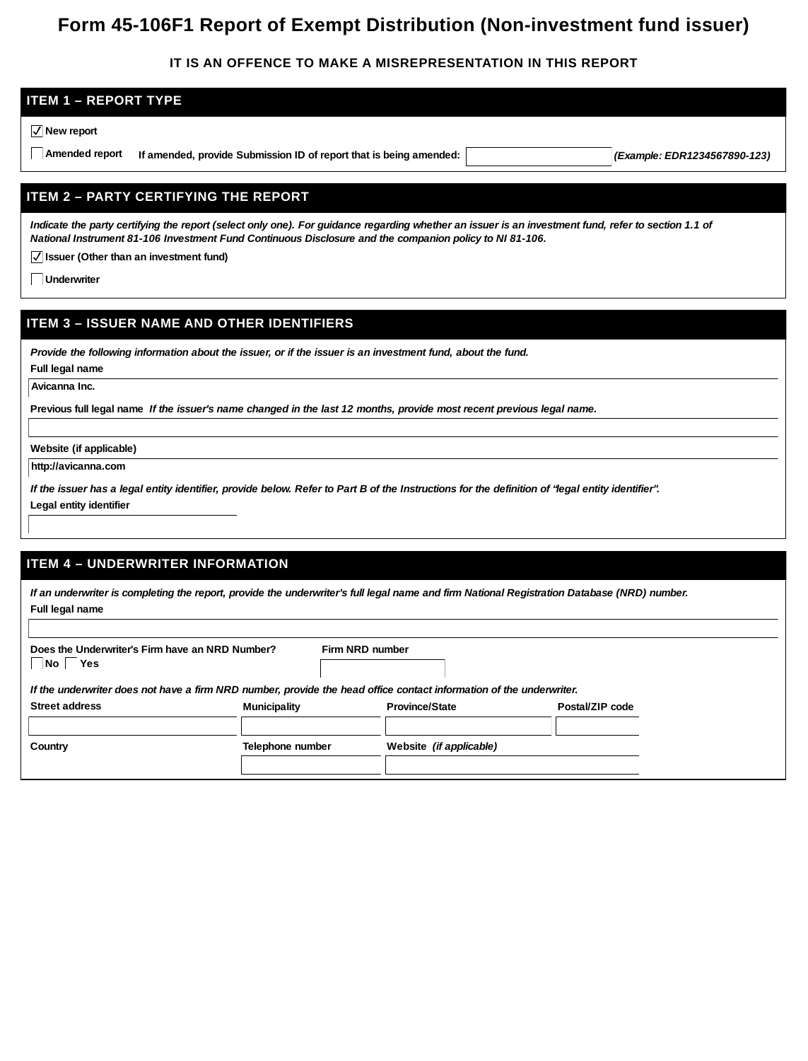# **Form 45-106F1 Report of Exempt Distribution (Non-investment fund issuer)**

### **IT IS AN OFFENCE TO MAKE A MISREPRESENTATION IN THIS REPORT**

# **ITEM 1 – REPORT TYPE New report Amended report If amended, provide Submission ID of report that is being amended:** *(Example: EDR1234567890-123)* **ITEM 2 – PARTY CERTIFYING THE REPORT**

*Indicate the party certifying the report (select only one). For guidance regarding whether an issuer is an investment fund, refer to section 1.1 of National Instrument 81-106 Investment Fund Continuous Disclosure and the companion policy to NI 81-106.*

**Issuer (Other than an investment fund)**

**Underwriter**

### **ITEM 3 – ISSUER NAME AND OTHER IDENTIFIERS**

*Provide the following information about the issuer, or if the issuer is an investment fund, about the fund.*

**Full legal name**

**Avicanna Inc.**

**Previous full legal name** *If the issuer's name changed in the last 12 months, provide most recent previous legal name.*

**Website (if applicable)**

**http://avicanna.com**

*If the issuer has a legal entity identifier, provide below. Refer to Part B of the Instructions for the definition of "legal entity identifier".* **Legal entity identifier**

### **ITEM 4 – UNDERWRITER INFORMATION**

|                                                                                                                     |                  |                 |                         | If an underwriter is completing the report, provide the underwriter's full legal name and firm National Registration Database (NRD) number. |
|---------------------------------------------------------------------------------------------------------------------|------------------|-----------------|-------------------------|---------------------------------------------------------------------------------------------------------------------------------------------|
| Full legal name                                                                                                     |                  |                 |                         |                                                                                                                                             |
|                                                                                                                     |                  |                 |                         |                                                                                                                                             |
| Does the Underwriter's Firm have an NRD Number?<br>  Yes<br>No l                                                    |                  | Firm NRD number |                         |                                                                                                                                             |
| If the underwriter does not have a firm NRD number, provide the head office contact information of the underwriter. |                  |                 |                         |                                                                                                                                             |
| Street address                                                                                                      | Municipality     |                 | Province/State          | Postal/ZIP code                                                                                                                             |
|                                                                                                                     |                  |                 |                         |                                                                                                                                             |
| Country                                                                                                             | Telephone number |                 | Website (if applicable) |                                                                                                                                             |
|                                                                                                                     |                  |                 |                         |                                                                                                                                             |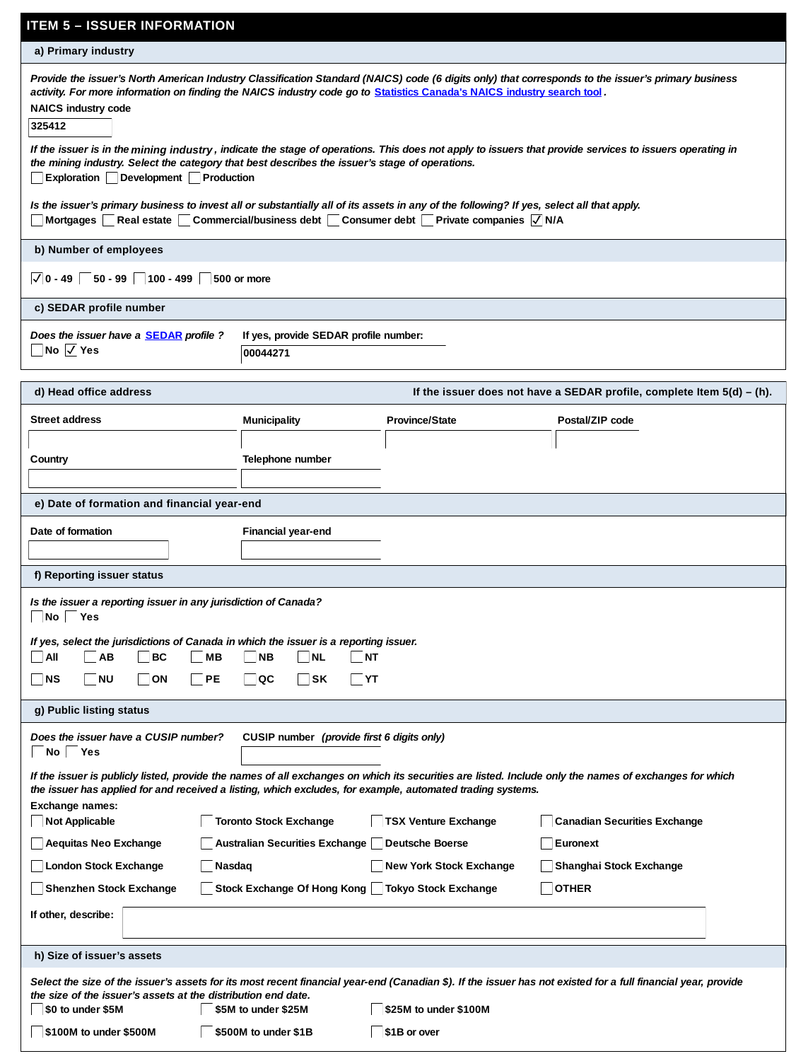| <b>ITEM 5 – ISSUER INFORMATION</b>                                                                                                                                                                                                                                                                               |                                                                                                          |                         |                                                                                                                                                               |  |  |  |
|------------------------------------------------------------------------------------------------------------------------------------------------------------------------------------------------------------------------------------------------------------------------------------------------------------------|----------------------------------------------------------------------------------------------------------|-------------------------|---------------------------------------------------------------------------------------------------------------------------------------------------------------|--|--|--|
| a) Primary industry                                                                                                                                                                                                                                                                                              |                                                                                                          |                         |                                                                                                                                                               |  |  |  |
| Provide the issuer's North American Industry Classification Standard (NAICS) code (6 digits only) that corresponds to the issuer's primary business<br>activity. For more information on finding the NAICS industry code go to Statistics Canada's NAICS industry search tool .<br>NAICS industry code<br>325412 |                                                                                                          |                         |                                                                                                                                                               |  |  |  |
| the mining industry. Select the category that best describes the issuer's stage of operations.<br>Exploration Development Production                                                                                                                                                                             |                                                                                                          |                         | If the issuer is in the mining industry, indicate the stage of operations. This does not apply to issuers that provide services to issuers operating in       |  |  |  |
| Is the issuer's primary business to invest all or substantially all of its assets in any of the following? If yes, select all that apply.<br>Mortgages Real estate Commercial/business debt Consumer debt Private companies $\overline{\sqrt{N}}$ N/A                                                            |                                                                                                          |                         |                                                                                                                                                               |  |  |  |
| b) Number of employees                                                                                                                                                                                                                                                                                           |                                                                                                          |                         |                                                                                                                                                               |  |  |  |
| $\sqrt{50 - 99}$ 100 - 499<br>$\vert\mathcal{J}\vert$ 0 - 49                                                                                                                                                                                                                                                     | 500 or more                                                                                              |                         |                                                                                                                                                               |  |  |  |
| c) SEDAR profile number                                                                                                                                                                                                                                                                                          |                                                                                                          |                         |                                                                                                                                                               |  |  |  |
| Does the issuer have a <b>SEDAR</b> profile ?<br>$\Box$ No $\overline{\vee}$ Yes                                                                                                                                                                                                                                 | If yes, provide SEDAR profile number:<br>00044271                                                        |                         |                                                                                                                                                               |  |  |  |
| d) Head office address                                                                                                                                                                                                                                                                                           |                                                                                                          |                         | If the issuer does not have a SEDAR profile, complete Item $5(d) - (h)$ .                                                                                     |  |  |  |
| Street address                                                                                                                                                                                                                                                                                                   | Municipality                                                                                             | Province/State          | Postal/ZIP code                                                                                                                                               |  |  |  |
|                                                                                                                                                                                                                                                                                                                  |                                                                                                          |                         |                                                                                                                                                               |  |  |  |
| Country                                                                                                                                                                                                                                                                                                          | Telephone number                                                                                         |                         |                                                                                                                                                               |  |  |  |
|                                                                                                                                                                                                                                                                                                                  |                                                                                                          |                         |                                                                                                                                                               |  |  |  |
| e) Date of formation and financial year-end                                                                                                                                                                                                                                                                      |                                                                                                          |                         |                                                                                                                                                               |  |  |  |
| Date of formation                                                                                                                                                                                                                                                                                                | Financial year-end                                                                                       |                         |                                                                                                                                                               |  |  |  |
|                                                                                                                                                                                                                                                                                                                  |                                                                                                          |                         |                                                                                                                                                               |  |  |  |
| f) Reporting issuer status                                                                                                                                                                                                                                                                                       |                                                                                                          |                         |                                                                                                                                                               |  |  |  |
| Is the issuer a reporting issuer in any jurisdiction of Canada?<br>   No   Yes                                                                                                                                                                                                                                   |                                                                                                          |                         |                                                                                                                                                               |  |  |  |
| If yes, select the jurisdictions of Canada in which the issuer is a reporting issuer.<br>  All<br>AB<br> BC<br> MB                                                                                                                                                                                               | NB<br>$\overline{\mathsf{NL}}$<br>$\overline{\mathsf{N}\mathsf{T}}$                                      |                         |                                                                                                                                                               |  |  |  |
| NS<br><b>NU</b><br>ON<br> PE                                                                                                                                                                                                                                                                                     | QC<br>   SK<br> YT                                                                                       |                         |                                                                                                                                                               |  |  |  |
| g) Public listing status                                                                                                                                                                                                                                                                                         |                                                                                                          |                         |                                                                                                                                                               |  |  |  |
|                                                                                                                                                                                                                                                                                                                  |                                                                                                          |                         |                                                                                                                                                               |  |  |  |
| Does the issuer have a CUSIP number?<br>No Yes                                                                                                                                                                                                                                                                   | CUSIP number (provide first 6 digits only)                                                               |                         |                                                                                                                                                               |  |  |  |
| If the issuer is publicly listed, provide the names of all exchanges on which its securities are listed. Include only the names of exchanges for which<br>the issuer has applied for and received a listing, which excludes, for example, automated trading systems.                                             |                                                                                                          |                         |                                                                                                                                                               |  |  |  |
| Not Applicable                                                                                                                                                                                                                                                                                                   | Exchange names:<br>Toronto Stock Exchange<br><b>TSX Venture Exchange</b><br>Canadian Securities Exchange |                         |                                                                                                                                                               |  |  |  |
| Aequitas Neo Exchange<br>Australian Securities Exchange<br>Deutsche Boerse<br>Euronext                                                                                                                                                                                                                           |                                                                                                          |                         |                                                                                                                                                               |  |  |  |
| London Stock Exchange<br>Nasdaq                                                                                                                                                                                                                                                                                  |                                                                                                          | New York Stock Exchange | Shanghai Stock Exchange                                                                                                                                       |  |  |  |
| <b>OTHER</b><br>Shenzhen Stock Exchange<br>Stock Exchange Of Hong Kong     Tokyo Stock Exchange                                                                                                                                                                                                                  |                                                                                                          |                         |                                                                                                                                                               |  |  |  |
| If other, describe:                                                                                                                                                                                                                                                                                              |                                                                                                          |                         |                                                                                                                                                               |  |  |  |
| h) Size of issuer's assets                                                                                                                                                                                                                                                                                       |                                                                                                          |                         |                                                                                                                                                               |  |  |  |
|                                                                                                                                                                                                                                                                                                                  |                                                                                                          |                         | Select the size of the issuer's assets for its most recent financial year-end (Canadian \$). If the issuer has not existed for a full financial year, provide |  |  |  |
| the size of the issuer's assets at the distribution end date.<br>\$0 to under \$5M                                                                                                                                                                                                                               | \$5M to under \$25M                                                                                      | \$25M to under \$100M   |                                                                                                                                                               |  |  |  |
| \$100M to under \$500M                                                                                                                                                                                                                                                                                           | \$500M to under \$1B                                                                                     | \$1B or over            |                                                                                                                                                               |  |  |  |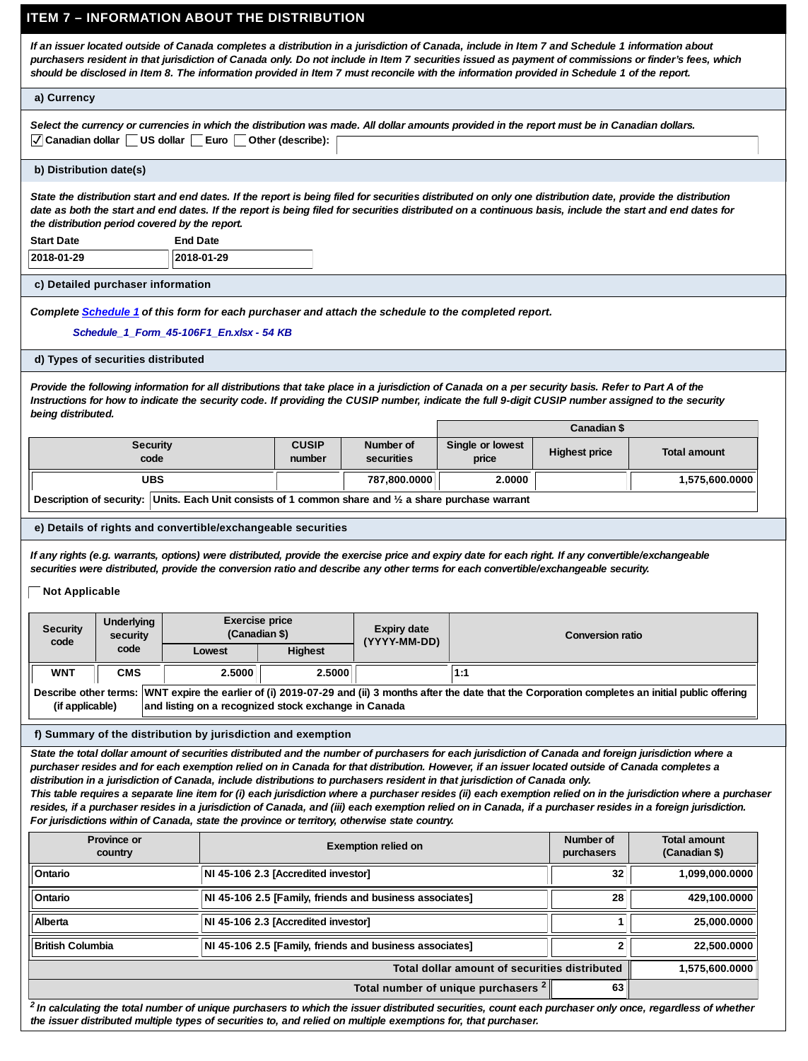### **ITEM 7 – INFORMATION ABOUT THE DISTRIBUTION**

*If an issuer located outside of Canada completes a distribution in a jurisdiction of Canada, include in Item 7 and Schedule 1 information about purchasers resident in that jurisdiction of Canada only. Do not include in Item 7 securities issued as payment of commissions or finder's fees, which should be disclosed in Item 8. The information provided in Item 7 must reconcile with the information provided in Schedule 1 of the report.*

#### **a) Currency**

| Select the currency or currencies in which the distribution was made. All dollar amounts provided in the report must be in Canadian dollars. |  |
|----------------------------------------------------------------------------------------------------------------------------------------------|--|
| √ Canadian dollar US dollar Euro Other (describe):                                                                                           |  |

#### **b) Distribution date(s)**

*State the distribution start and end dates. If the report is being filed for securities distributed on only one distribution date, provide the distribution date as both the start and end dates. If the report is being filed for securities distributed on a continuous basis, include the start and end dates for the distribution period covered by the report.*

**Start Date**

**2018-01-29 2018-01-29**

**c) Detailed purchaser information**

#### *Complete [Schedule 1](http://www.osc.gov.on.ca/documents/en/Securities-Category4/csa_20160407_45-106_schedule-1.xlsx) of this form for each purchaser and attach the schedule to the completed report.*

**Schedule\_1\_Form\_45-106F1\_En.xlsx** *Schedule\_1\_Form\_45-106F1\_En.xlsx - 54 KB*

**End Date**

#### **d) Types of securities distributed**

*Provide the following information for all distributions that take place in a jurisdiction of Canada on a per security basis. Refer to Part A of the Instructions for how to indicate the security code. If providing the CUSIP number, indicate the full 9-digit CUSIP number assigned to the security being distributed.*

|                                                                                                       |                        |                         |                           | Canadian \$   |                |
|-------------------------------------------------------------------------------------------------------|------------------------|-------------------------|---------------------------|---------------|----------------|
| Security<br>code                                                                                      | <b>CUSIP</b><br>number | Number of<br>securities | Single or lowest<br>price | Highest price | Total amount   |
| <b>UBS</b>                                                                                            |                        | 787.800.0000            | 2.0000                    |               | 1.575.600.0000 |
| Description of security: Units. Each Unit consists of 1 common share and 1/2 a share purchase warrant |                        |                         |                           |               |                |

#### **e) Details of rights and convertible/exchangeable securities**

*If any rights (e.g. warrants, options) were distributed, provide the exercise price and expiry date for each right. If any convertible/exchangeable securities were distributed, provide the conversion ratio and describe any other terms for each convertible/exchangeable security.*

#### **Not Applicable**

| Security<br>code                                                                                                                                                                                                                     | Underlying<br>security | Exercise price<br>(Canadian \$) |         | Expiry date<br>(YYYY-MM-DD) | Conversion ratio |
|--------------------------------------------------------------------------------------------------------------------------------------------------------------------------------------------------------------------------------------|------------------------|---------------------------------|---------|-----------------------------|------------------|
|                                                                                                                                                                                                                                      | code                   | Lowest                          | Highest |                             |                  |
| <b>WNT</b>                                                                                                                                                                                                                           | CMS                    | 2.5000                          | 2.5000  |                             | 1:1              |
| Describe other terms: WNT expire the earlier of (i) 2019-07-29 and (ii) 3 months after the date that the Corporation completes an initial public offering<br>and listing on a recognized stock exchange in Canada<br>(if applicable) |                        |                                 |         |                             |                  |

#### **f) Summary of the distribution by jurisdiction and exemption**

*State the total dollar amount of securities distributed and the number of purchasers for each jurisdiction of Canada and foreign jurisdiction where a purchaser resides and for each exemption relied on in Canada for that distribution. However, if an issuer located outside of Canada completes a distribution in a jurisdiction of Canada, include distributions to purchasers resident in that jurisdiction of Canada only.*

*This table requires a separate line item for (i) each jurisdiction where a purchaser resides (ii) each exemption relied on in the jurisdiction where a purchaser resides, if a purchaser resides in a jurisdiction of Canada, and (iii) each exemption relied on in Canada, if a purchaser resides in a foreign jurisdiction. For jurisdictions within of Canada, state the province or territory, otherwise state country.*

| Province or<br>country  | Exemption relied on                                     | Number of<br>purchasers | Total amount<br>(Canadian \$) |  |  |  |
|-------------------------|---------------------------------------------------------|-------------------------|-------------------------------|--|--|--|
| Ontario                 | NI 45-106 2.3 [Accredited investor]                     | 32                      | 1,099,000.0000                |  |  |  |
| Ontario                 | NI 45-106 2.5 [Family, friends and business associates] | 28                      | 429.100.0000                  |  |  |  |
| Alberta                 | NI 45-106 2.3 [Accredited investor]                     |                         | 25.000.0000                   |  |  |  |
| <b>British Columbia</b> | NI 45-106 2.5 [Family, friends and business associates] |                         | 22.500.0000                   |  |  |  |
|                         | 1,575,600.0000                                          |                         |                               |  |  |  |
|                         | Total number of unique purchasers <sup>2</sup><br>63    |                         |                               |  |  |  |

<sup>2</sup> In calculating the total number of unique purchasers to which the issuer distributed securities, count each purchaser only once, regardless of whether *the issuer distributed multiple types of securities to, and relied on multiple exemptions for, that purchaser.*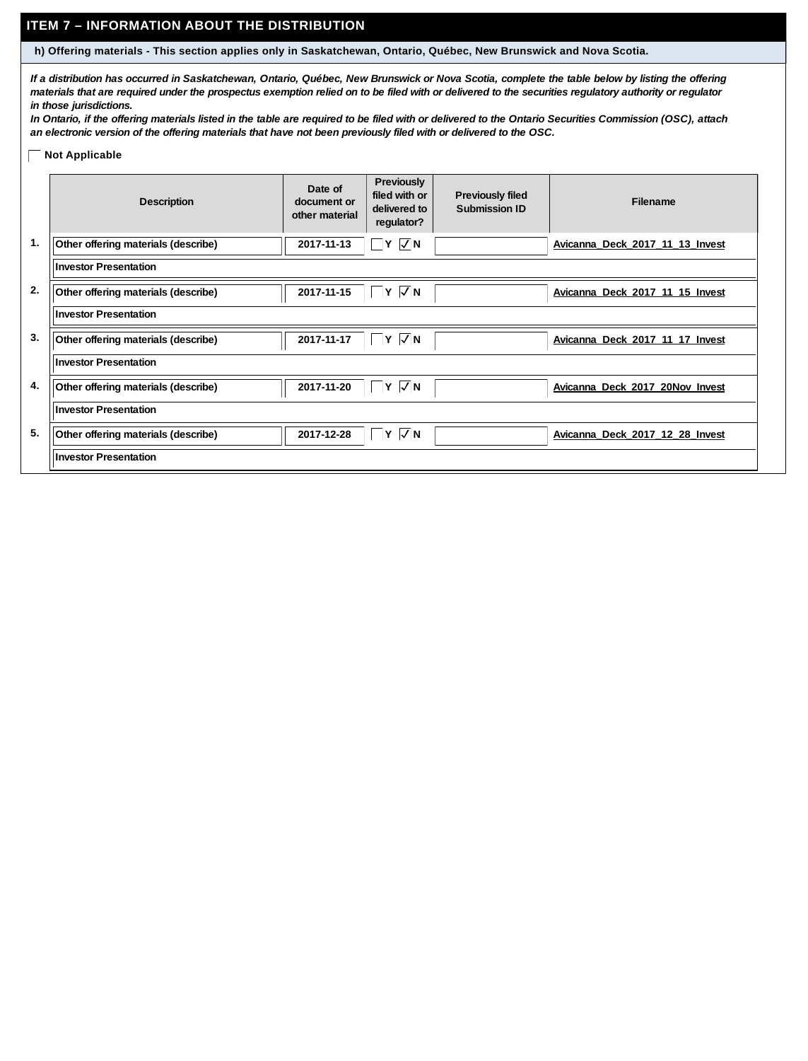### **ITEM 7 – INFORMATION ABOUT THE DISTRIBUTION**

**h) Offering materials - This section applies only in Saskatchewan, Ontario, Québec, New Brunswick and Nova Scotia.**

*If a distribution has occurred in Saskatchewan, Ontario, Québec, New Brunswick or Nova Scotia, complete the table below by listing the offering materials that are required under the prospectus exemption relied on to be filed with or delivered to the securities regulatory authority or regulator in those jurisdictions.*

*In Ontario, if the offering materials listed in the table are required to be filed with or delivered to the Ontario Securities Commission (OSC), attach an electronic version of the offering materials that have not been previously filed with or delivered to the OSC.*

### **Not Applicable**

|    | Description                         | Date of<br>document or<br>other material | Previously<br>filed with or<br>delivered to<br>regulator? | Previously filed<br>Submission ID | Filename                        |
|----|-------------------------------------|------------------------------------------|-----------------------------------------------------------|-----------------------------------|---------------------------------|
| 1. | Other offering materials (describe) | 2017-11-13                               | $Y$ $\overline{\vee}$ N                                   |                                   | Avicanna Deck 2017 11 13 Invest |
|    | <b>Investor Presentation</b>        |                                          |                                                           |                                   |                                 |
| 2. | Other offering materials (describe) | 2017-11-15                               | $Y$ $\sqrt{N}$                                            |                                   | Avicanna Deck 2017 11 15 Invest |
|    | <b>Investor Presentation</b>        |                                          |                                                           |                                   |                                 |
| 3. | Other offering materials (describe) | 2017-11-17                               | $\Box$ Y $\Box$ N                                         |                                   | Avicanna Deck 2017 11 17 Invest |
|    | <b>Investor Presentation</b>        |                                          |                                                           |                                   |                                 |
| 4. | Other offering materials (describe) | 2017-11-20                               | $Y$ $\overline{\vee}$ N                                   |                                   | Avicanna Deck 2017 20Nov Invest |
|    | <b>Investor Presentation</b>        |                                          |                                                           |                                   |                                 |
| 5. | Other offering materials (describe) | 2017-12-28                               | $Y\sqrt{N}$                                               |                                   | Avicanna Deck 2017 12 28 Invest |
|    | <b>Investor Presentation</b>        |                                          |                                                           |                                   |                                 |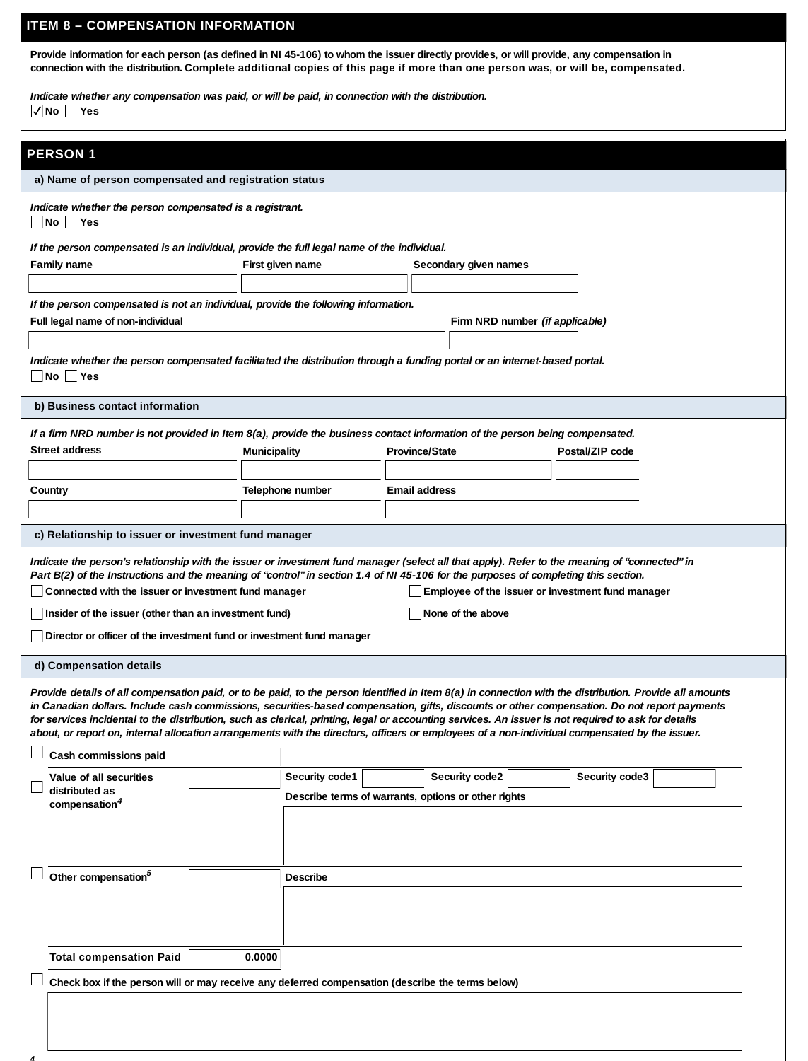### **ITEM 8 – COMPENSATION INFORMATION**

**Provide information for each person (as defined in NI 45-106) to whom the issuer directly provides, or will provide, any compensation in** connection with the distribution. Complete additional copies of this page if more than one person was, or will be, compensated.

*Indicate whether any compensation was paid, or will be paid, in connection with the distribution.* **No Yes**

### **PERSON 1**

*4*

| ENJUN I                                                                                                                                                                                                                                                                                                                                                                                                                                                                                                                                                                                                          |                                                                                                                                                                                                                                                                                                                                                                                                                                                                                                                                                          |                                                     |                |                       |                 |  |  |
|------------------------------------------------------------------------------------------------------------------------------------------------------------------------------------------------------------------------------------------------------------------------------------------------------------------------------------------------------------------------------------------------------------------------------------------------------------------------------------------------------------------------------------------------------------------------------------------------------------------|----------------------------------------------------------------------------------------------------------------------------------------------------------------------------------------------------------------------------------------------------------------------------------------------------------------------------------------------------------------------------------------------------------------------------------------------------------------------------------------------------------------------------------------------------------|-----------------------------------------------------|----------------|-----------------------|-----------------|--|--|
| a) Name of person compensated and registration status                                                                                                                                                                                                                                                                                                                                                                                                                                                                                                                                                            |                                                                                                                                                                                                                                                                                                                                                                                                                                                                                                                                                          |                                                     |                |                       |                 |  |  |
| Indicate whether the person compensated is a registrant.<br>No Yes                                                                                                                                                                                                                                                                                                                                                                                                                                                                                                                                               |                                                                                                                                                                                                                                                                                                                                                                                                                                                                                                                                                          |                                                     |                |                       |                 |  |  |
| If the person compensated is an individual, provide the full legal name of the individual.                                                                                                                                                                                                                                                                                                                                                                                                                                                                                                                       |                                                                                                                                                                                                                                                                                                                                                                                                                                                                                                                                                          |                                                     |                |                       |                 |  |  |
| Family name                                                                                                                                                                                                                                                                                                                                                                                                                                                                                                                                                                                                      |                                                                                                                                                                                                                                                                                                                                                                                                                                                                                                                                                          | First given name                                    |                | Secondary given names |                 |  |  |
|                                                                                                                                                                                                                                                                                                                                                                                                                                                                                                                                                                                                                  |                                                                                                                                                                                                                                                                                                                                                                                                                                                                                                                                                          |                                                     |                |                       |                 |  |  |
| If the person compensated is not an individual, provide the following information.                                                                                                                                                                                                                                                                                                                                                                                                                                                                                                                               |                                                                                                                                                                                                                                                                                                                                                                                                                                                                                                                                                          |                                                     |                |                       |                 |  |  |
|                                                                                                                                                                                                                                                                                                                                                                                                                                                                                                                                                                                                                  | Full legal name of non-individual<br>Firm NRD number <i>(if applicable)</i>                                                                                                                                                                                                                                                                                                                                                                                                                                                                              |                                                     |                |                       |                 |  |  |
|                                                                                                                                                                                                                                                                                                                                                                                                                                                                                                                                                                                                                  |                                                                                                                                                                                                                                                                                                                                                                                                                                                                                                                                                          |                                                     |                |                       |                 |  |  |
| Indicate whether the person compensated facilitated the distribution through a funding portal or an internet-based portal.                                                                                                                                                                                                                                                                                                                                                                                                                                                                                       |                                                                                                                                                                                                                                                                                                                                                                                                                                                                                                                                                          |                                                     |                |                       |                 |  |  |
| No<br>∣Yes                                                                                                                                                                                                                                                                                                                                                                                                                                                                                                                                                                                                       |                                                                                                                                                                                                                                                                                                                                                                                                                                                                                                                                                          |                                                     |                |                       |                 |  |  |
|                                                                                                                                                                                                                                                                                                                                                                                                                                                                                                                                                                                                                  |                                                                                                                                                                                                                                                                                                                                                                                                                                                                                                                                                          |                                                     |                |                       |                 |  |  |
| b) Business contact information                                                                                                                                                                                                                                                                                                                                                                                                                                                                                                                                                                                  |                                                                                                                                                                                                                                                                                                                                                                                                                                                                                                                                                          |                                                     |                |                       |                 |  |  |
| If a firm NRD number is not provided in Item 8(a), provide the business contact information of the person being compensated.                                                                                                                                                                                                                                                                                                                                                                                                                                                                                     |                                                                                                                                                                                                                                                                                                                                                                                                                                                                                                                                                          |                                                     |                |                       |                 |  |  |
| Street address                                                                                                                                                                                                                                                                                                                                                                                                                                                                                                                                                                                                   | Municipality                                                                                                                                                                                                                                                                                                                                                                                                                                                                                                                                             |                                                     | Province/State |                       | Postal/ZIP code |  |  |
|                                                                                                                                                                                                                                                                                                                                                                                                                                                                                                                                                                                                                  |                                                                                                                                                                                                                                                                                                                                                                                                                                                                                                                                                          |                                                     |                |                       |                 |  |  |
| Country                                                                                                                                                                                                                                                                                                                                                                                                                                                                                                                                                                                                          |                                                                                                                                                                                                                                                                                                                                                                                                                                                                                                                                                          | Telephone number                                    | Email address  |                       |                 |  |  |
|                                                                                                                                                                                                                                                                                                                                                                                                                                                                                                                                                                                                                  |                                                                                                                                                                                                                                                                                                                                                                                                                                                                                                                                                          |                                                     |                |                       |                 |  |  |
| c) Relationship to issuer or investment fund manager                                                                                                                                                                                                                                                                                                                                                                                                                                                                                                                                                             |                                                                                                                                                                                                                                                                                                                                                                                                                                                                                                                                                          |                                                     |                |                       |                 |  |  |
|                                                                                                                                                                                                                                                                                                                                                                                                                                                                                                                                                                                                                  | Indicate the person's relationship with the issuer or investment fund manager (select all that apply). Refer to the meaning of "connected" in<br>Part B(2) of the Instructions and the meaning of "control" in section 1.4 of NI 45-106 for the purposes of completing this section.<br>Connected with the issuer or investment fund manager<br>Employee of the issuer or investment fund manager<br>None of the above<br>Insider of the issuer (other than an investment fund)<br>Director or officer of the investment fund or investment fund manager |                                                     |                |                       |                 |  |  |
| d) Compensation details                                                                                                                                                                                                                                                                                                                                                                                                                                                                                                                                                                                          |                                                                                                                                                                                                                                                                                                                                                                                                                                                                                                                                                          |                                                     |                |                       |                 |  |  |
| Provide details of all compensation paid, or to be paid, to the person identified in Item 8(a) in connection with the distribution. Provide all amounts<br>in Canadian dollars. Include cash commissions, securities-based compensation, gifts, discounts or other compensation. Do not report payments<br>for services incidental to the distribution, such as clerical, printing, legal or accounting services. An issuer is not required to ask for details<br>about, or report on, internal allocation arrangements with the directors, officers or employees of a non-individual compensated by the issuer. |                                                                                                                                                                                                                                                                                                                                                                                                                                                                                                                                                          |                                                     |                |                       |                 |  |  |
| Cash commissions paid                                                                                                                                                                                                                                                                                                                                                                                                                                                                                                                                                                                            |                                                                                                                                                                                                                                                                                                                                                                                                                                                                                                                                                          |                                                     |                |                       |                 |  |  |
| Value of all securities                                                                                                                                                                                                                                                                                                                                                                                                                                                                                                                                                                                          |                                                                                                                                                                                                                                                                                                                                                                                                                                                                                                                                                          | Security code1                                      |                | Security code2        | Security code3  |  |  |
| distributed as                                                                                                                                                                                                                                                                                                                                                                                                                                                                                                                                                                                                   |                                                                                                                                                                                                                                                                                                                                                                                                                                                                                                                                                          | Describe terms of warrants, options or other rights |                |                       |                 |  |  |
| compensation <sup>4</sup>                                                                                                                                                                                                                                                                                                                                                                                                                                                                                                                                                                                        |                                                                                                                                                                                                                                                                                                                                                                                                                                                                                                                                                          |                                                     |                |                       |                 |  |  |
| Other compensation <sup>5</sup>                                                                                                                                                                                                                                                                                                                                                                                                                                                                                                                                                                                  |                                                                                                                                                                                                                                                                                                                                                                                                                                                                                                                                                          | Describe                                            |                |                       |                 |  |  |
|                                                                                                                                                                                                                                                                                                                                                                                                                                                                                                                                                                                                                  |                                                                                                                                                                                                                                                                                                                                                                                                                                                                                                                                                          |                                                     |                |                       |                 |  |  |
| <b>Total compensation Paid</b>                                                                                                                                                                                                                                                                                                                                                                                                                                                                                                                                                                                   | 0.0000                                                                                                                                                                                                                                                                                                                                                                                                                                                                                                                                                   |                                                     |                |                       |                 |  |  |
| Check box if the person will or may receive any deferred compensation (describe the terms below)                                                                                                                                                                                                                                                                                                                                                                                                                                                                                                                 |                                                                                                                                                                                                                                                                                                                                                                                                                                                                                                                                                          |                                                     |                |                       |                 |  |  |
|                                                                                                                                                                                                                                                                                                                                                                                                                                                                                                                                                                                                                  |                                                                                                                                                                                                                                                                                                                                                                                                                                                                                                                                                          |                                                     |                |                       |                 |  |  |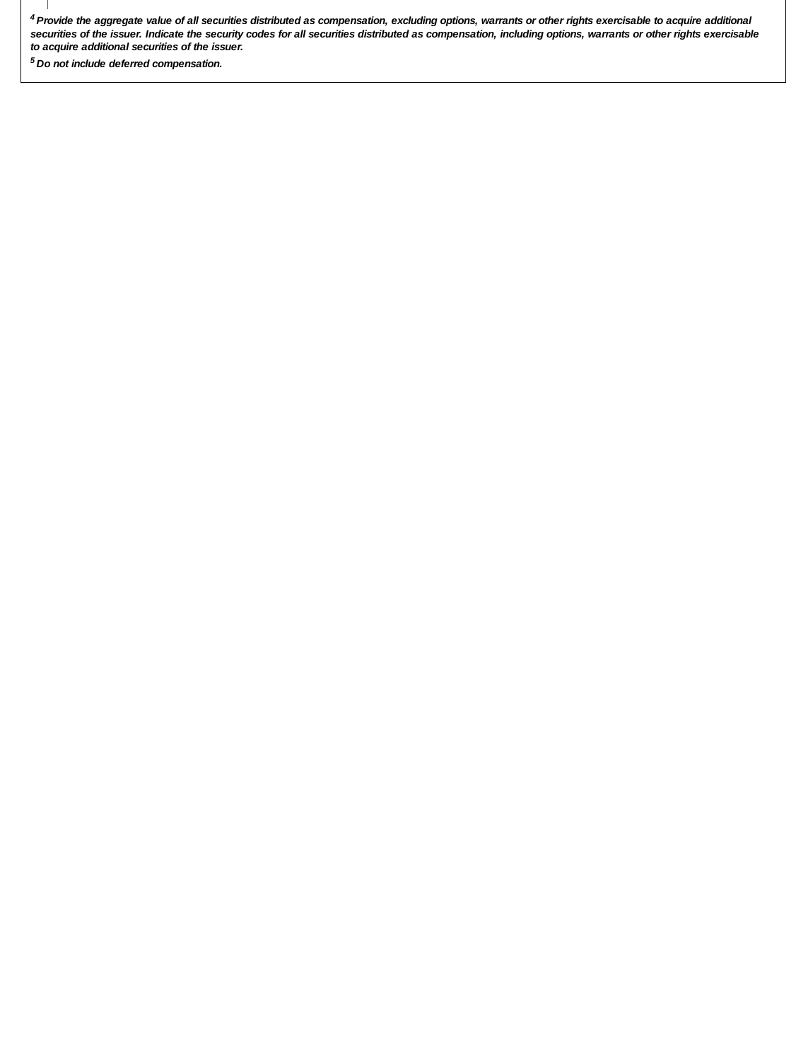*Provide the aggregate value of all securities distributed as compensation, excluding options, warrants or other rights exercisable to acquire additional 4 securities of the issuer. Indicate the security codes for all securities distributed as compensation, including options, warrants or other rights exercisable to acquire additional securities of the issuer.*

 *Do not include deferred compensation. <sup>5</sup>*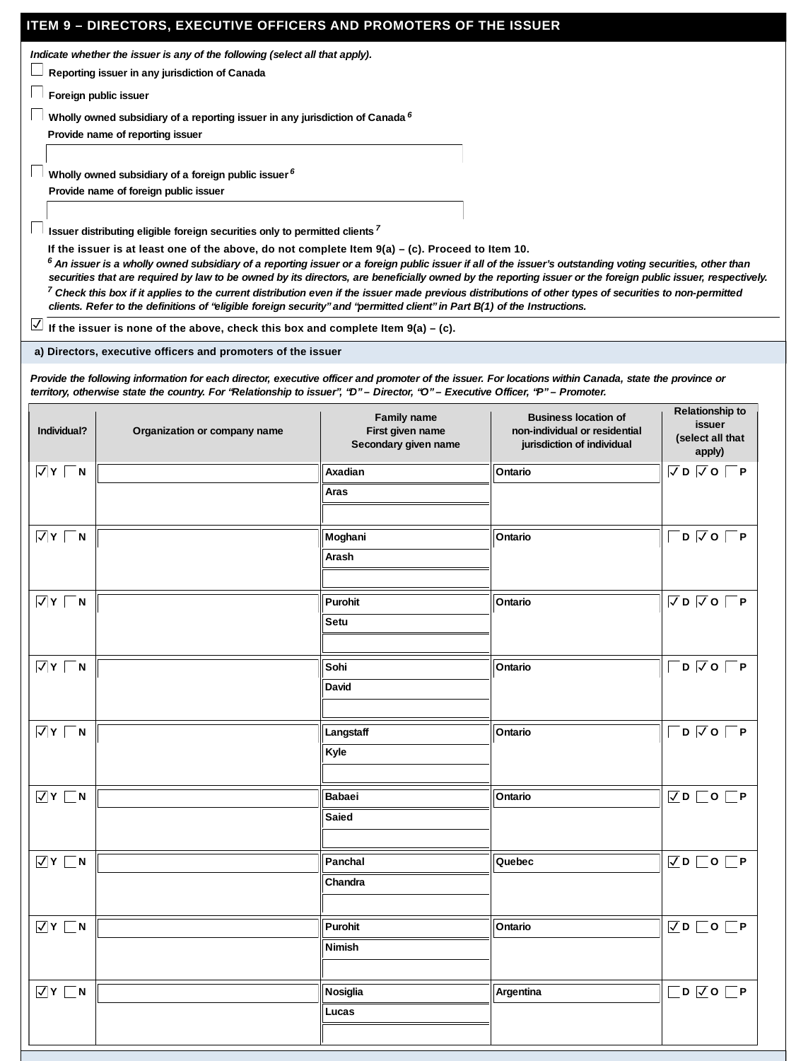### **ITEM 9 – DIRECTORS, EXECUTIVE OFFICERS AND PROMOTERS OF THE ISSUER**

*Indicate whether the issuer is any of the following (select all that apply).*

**Reporting issuer in any jurisdiction of Canada**

**Foreign public issuer**

**Wholly owned subsidiary of a reporting issuer in any jurisdiction of Canada** *6*

**Provide name of reporting issuer**

**Wholly owned subsidiary of a foreign public issuer** *6*

**Provide name of foreign public issuer**

**Issuer distributing eligible foreign securities only to permitted clients** *7*

**If the issuer is at least one of the above, do not complete Item 9(a) – (c). Proceed to Item 10.**

 $^6$  An issuer is a wholly owned subsidiary of a reporting issuer or a foreign public issuer if all of the issuer's outstanding voting securities, other than *securities that are required by law to be owned by its directors, are beneficially owned by the reporting issuer or the foreign public issuer, respectively. Check this box if it applies to the current distribution even if the issuer made previous distributions of other types of securities to non-permitted 7 clients. Refer to the definitions of "eligible foreign security" and "permitted client" in Part B(1) of the Instructions.*

**If the issuer is none of the above, check this box and complete Item**  $9(a) - (c)$ **.** 

**a) Directors, executive officers and promoters of the issuer**

*Provide the following information for each director, executive officer and promoter of the issuer. For locations within Canada, state the province or territory, otherwise state the country. For "Relationship to issuer", "D" – Director, "O" – Executive Officer, "P" – Promoter.*

| Individual?               | Organization or company name | Family name<br>First given name<br>Secondary given name | <b>Business location of</b><br>non-individual or residential<br>jurisdiction of individual | Relationship to<br>issuer<br>(select all that<br>apply) |
|---------------------------|------------------------------|---------------------------------------------------------|--------------------------------------------------------------------------------------------|---------------------------------------------------------|
| $\overline{M}$ Y $\Box$ N |                              | Axadian                                                 | Ontario                                                                                    | $\nabla$ D $\nabla$ O $\nabla$ P                        |
|                           |                              | Aras                                                    |                                                                                            |                                                         |
|                           |                              |                                                         |                                                                                            |                                                         |
| $\sqrt{Y}$ $\sqrt{N}$     |                              | Moghani                                                 | Ontario                                                                                    | $\Box$ D $\Box$ O $\Box$ P                              |
|                           |                              | Arash                                                   |                                                                                            |                                                         |
|                           |                              |                                                         |                                                                                            |                                                         |
| $\overline{V}$ Y $\Box$ N |                              | Purohit                                                 | Ontario                                                                                    | $\nabla$ D $\nabla$ O $\nabla$ P                        |
|                           |                              | Setu                                                    |                                                                                            |                                                         |
|                           |                              |                                                         |                                                                                            |                                                         |
| $\sqrt{Y}$ N              |                              | Sohi                                                    | Ontario                                                                                    | $\Box$ D $\Box$ O $\Box$ P                              |
|                           |                              | David                                                   |                                                                                            |                                                         |
|                           |                              |                                                         |                                                                                            |                                                         |
| $\overline{V}$ Y $\Box$ N |                              | Langstaff                                               | Ontario                                                                                    | $\Box$ D $\Box$ O $\Box$ P                              |
|                           |                              | Kyle                                                    |                                                                                            |                                                         |
|                           |                              |                                                         |                                                                                            |                                                         |
| $\overline{V}$ Y $\Box$ N |                              | Babaei                                                  | Ontario                                                                                    | $\nabla$ D $\Box$ O $\nabla$ P                          |
|                           |                              | Saied                                                   |                                                                                            |                                                         |
|                           |                              |                                                         |                                                                                            |                                                         |
| $\overline{V}$ Y $\Box$ N |                              | Panchal                                                 | Quebec                                                                                     | $\nabla$ D $\Box$ O $\nabla$ P                          |
|                           |                              | Chandra                                                 |                                                                                            |                                                         |
|                           |                              |                                                         |                                                                                            |                                                         |
| $\overline{V}$ Y $\Box$ N |                              | Purohit                                                 | Ontario                                                                                    | $\nabla D$ $\nabla C$ $\nabla P$                        |
|                           |                              | Nimish                                                  |                                                                                            |                                                         |
|                           |                              |                                                         |                                                                                            |                                                         |
| $\overline{V}$ Y $\Box$ N |                              | Nosiglia                                                | Argentina                                                                                  | $\Box$ D $\Box$ O $\Box$ P                              |
|                           |                              | Lucas                                                   |                                                                                            |                                                         |
|                           |                              |                                                         |                                                                                            |                                                         |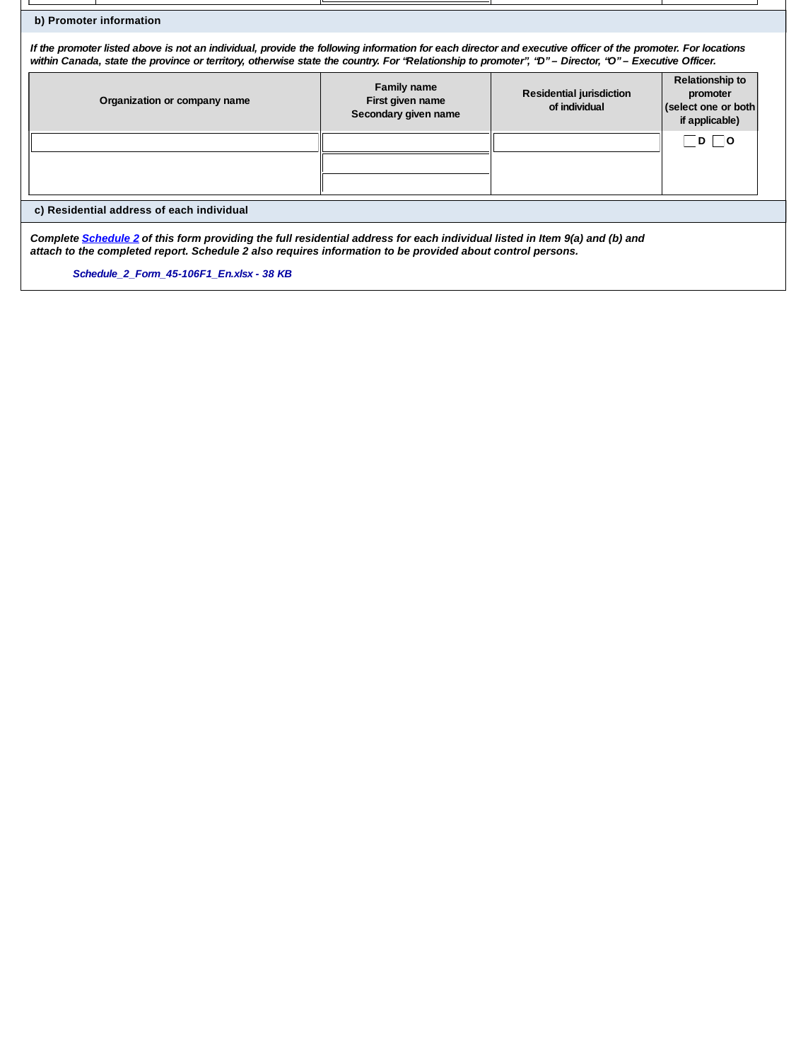| b) Promoter information                                                                                                                                                                                                                                                                                              |                                                         |                                           |                                                                                                        |  |  |
|----------------------------------------------------------------------------------------------------------------------------------------------------------------------------------------------------------------------------------------------------------------------------------------------------------------------|---------------------------------------------------------|-------------------------------------------|--------------------------------------------------------------------------------------------------------|--|--|
| If the promoter listed above is not an individual, provide the following information for each director and executive officer of the promoter. For locations<br>within Canada, state the province or territory, otherwise state the country. For "Relationship to promoter", "D" – Director, "O" – Executive Officer. |                                                         |                                           |                                                                                                        |  |  |
| Organization or company name                                                                                                                                                                                                                                                                                         | Family name<br>First given name<br>Secondary given name | Residential jurisdiction<br>of individual | Relationship to<br>promoter<br>(select one or both<br>if applicable)<br>$\overline{\phantom{0}}$<br> D |  |  |
| c) Residential address of each individual                                                                                                                                                                                                                                                                            |                                                         |                                           |                                                                                                        |  |  |
|                                                                                                                                                                                                                                                                                                                      |                                                         |                                           |                                                                                                        |  |  |
| Complete Schedule 2 of this form providing the full residential address for each individual listed in Item 9(a) and (b) and<br>attach to the completed report. Schedule 2 also requires information to be provided about control persons.<br>Schedule 2 Form 45-106F1 En.xlsx - 38 KB                                |                                                         |                                           |                                                                                                        |  |  |